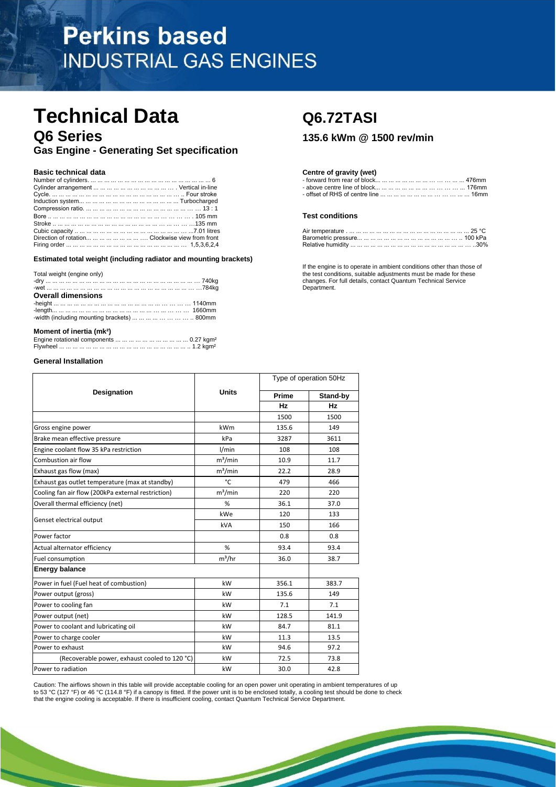# **Perkins based INDUSTRIAL GAS ENGINES**

# **Technical Data Q6.72TASI Q6 Series 135.6 kWm @ 1500 rev/min**

**Gas Engine - Generating Set specification** 

|                                                        | <b>Test conditions</b> |
|--------------------------------------------------------|------------------------|
|                                                        |                        |
|                                                        |                        |
| Direction of rotation        Clockwise view from front |                        |
|                                                        |                        |

## **Estimated total weight (including radiator and mounting brackets)**

|                                                                                              | <b>If the only no to to operate in amplem conditions other than those</b> |
|----------------------------------------------------------------------------------------------|---------------------------------------------------------------------------|
| Total weight (engine only)                                                                   | the test conditions, suitable adjustments must be made for these          |
|                                                                                              | changes. For full details, contact Quantum Technical Service              |
|                                                                                              | Department.                                                               |
| <b>Overall dimensions</b>                                                                    |                                                                           |
|                                                                                              |                                                                           |
|                                                                                              |                                                                           |
| -width (including mounting brackets) $\dots \dots \dots \dots \dots \dots \dots \dots$ 800mm |                                                                           |
|                                                                                              |                                                                           |
|                                                                                              |                                                                           |

# **Moment of inertia (mk²)**

## **General Installation**

|                                                    |              | Type of operation 50Hz |           |
|----------------------------------------------------|--------------|------------------------|-----------|
| <b>Designation</b>                                 | <b>Units</b> | Prime                  | Stand-by  |
|                                                    |              | <b>Hz</b>              | <b>Hz</b> |
|                                                    |              | 1500                   | 1500      |
| Gross engine power                                 | kWm          | 135.6                  | 149       |
| Brake mean effective pressure                      | kPa          | 3287                   | 3611      |
| Engine coolant flow 35 kPa restriction             | 1/min        | 108                    | 108       |
| Combustion air flow                                | $m^3/m$ in   | 10.9                   | 11.7      |
| Exhaust gas flow (max)                             | $m^3/m$ in   | 22.2                   | 28.9      |
| Exhaust gas outlet temperature (max at standby)    | °C           | 479                    | 466       |
| Cooling fan air flow (200kPa external restriction) | $m^3/m$ in   | 220                    | 220       |
| Overall thermal efficiency (net)                   | %            | 36.1                   | 37.0      |
|                                                    | kWe          | 120                    | 133       |
| Genset electrical output                           | kVA          | 150                    | 166       |
| Power factor                                       |              | 0.8                    | 0.8       |
| Actual alternator efficiency                       | %            | 93.4                   | 93.4      |
| Fuel consumption                                   | $m^3/hr$     | 36.0                   | 38.7      |
| <b>Energy balance</b>                              |              |                        |           |
| Power in fuel (Fuel heat of combustion)            | kW           | 356.1                  | 383.7     |
| Power output (gross)                               | kW           | 135.6                  | 149       |
| Power to cooling fan                               | kW           | 7.1                    | 7.1       |
| Power output (net)                                 | kW           | 128.5                  | 141.9     |
| Power to coolant and lubricating oil               | kW           | 84.7                   | 81.1      |
| Power to charge cooler                             | kW           | 11.3                   | 13.5      |
| Power to exhaust                                   | kW           | 94.6                   | 97.2      |
| (Recoverable power, exhaust cooled to 120 °C)      | kW           | 72.5                   | 73.8      |
| Power to radiation                                 | kW           | 30.0                   | 42.8      |

Caution: The airflows shown in this table will provide acceptable cooling for an open power unit operating in ambient temperatures of up to 53 °C (127 °F) or 46 °C (114.8 °F) if a canopy is fitted. If the power unit is to be enclosed totally, a cooling test should be done to check that the engine cooling is acceptable. If there is insufficient cooling, contact Quantum Technical Service Department.

## **Basic technical data Centre of gravity (wet) Centre of gravity (wet)**

| Number                           | . nloc'<br>лшн                      |
|----------------------------------|-------------------------------------|
| Cvlinder<br>nnement              | above centre line of block<br>וזוזכ |
| Cvcle.<br>FOU<br>.             . | lbmm                                |

## **Test conditions**

| Direction of rotation        Clockwise view from front |                   |  |
|--------------------------------------------------------|-------------------|--|
|                                                        | Relative humidity |  |

If the engine is to operate in ambient conditions other than those of Department.